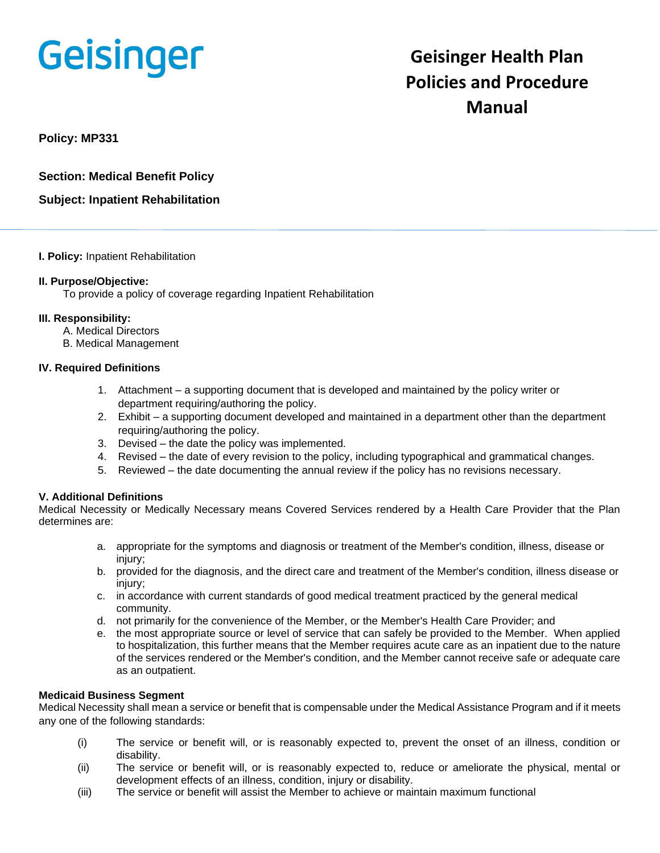# **Geisinger**

# **Geisinger Health Plan Policies and Procedure Manual**

**Policy: MP331** 

**Section: Medical Benefit Policy**

**Subject: Inpatient Rehabilitation**

## **I. Policy:** Inpatient Rehabilitation

## **II. Purpose/Objective:**

To provide a policy of coverage regarding Inpatient Rehabilitation

# **III. Responsibility:**

- A. Medical Directors
- B. Medical Management

# **IV. Required Definitions**

- 1. Attachment a supporting document that is developed and maintained by the policy writer or department requiring/authoring the policy.
- 2. Exhibit a supporting document developed and maintained in a department other than the department requiring/authoring the policy.
- 3. Devised the date the policy was implemented.
- 4. Revised the date of every revision to the policy, including typographical and grammatical changes.
- 5. Reviewed the date documenting the annual review if the policy has no revisions necessary.

# **V. Additional Definitions**

Medical Necessity or Medically Necessary means Covered Services rendered by a Health Care Provider that the Plan determines are:

- a. appropriate for the symptoms and diagnosis or treatment of the Member's condition, illness, disease or injury;
- b. provided for the diagnosis, and the direct care and treatment of the Member's condition, illness disease or injury:
- c. in accordance with current standards of good medical treatment practiced by the general medical community.
- d. not primarily for the convenience of the Member, or the Member's Health Care Provider; and
- e. the most appropriate source or level of service that can safely be provided to the Member. When applied to hospitalization, this further means that the Member requires acute care as an inpatient due to the nature of the services rendered or the Member's condition, and the Member cannot receive safe or adequate care as an outpatient.

## **Medicaid Business Segment**

Medical Necessity shall mean a service or benefit that is compensable under the Medical Assistance Program and if it meets any one of the following standards:

- (i) The service or benefit will, or is reasonably expected to, prevent the onset of an illness, condition or disability.
- (ii) The service or benefit will, or is reasonably expected to, reduce or ameliorate the physical, mental or development effects of an illness, condition, injury or disability.
- (iii) The service or benefit will assist the Member to achieve or maintain maximum functional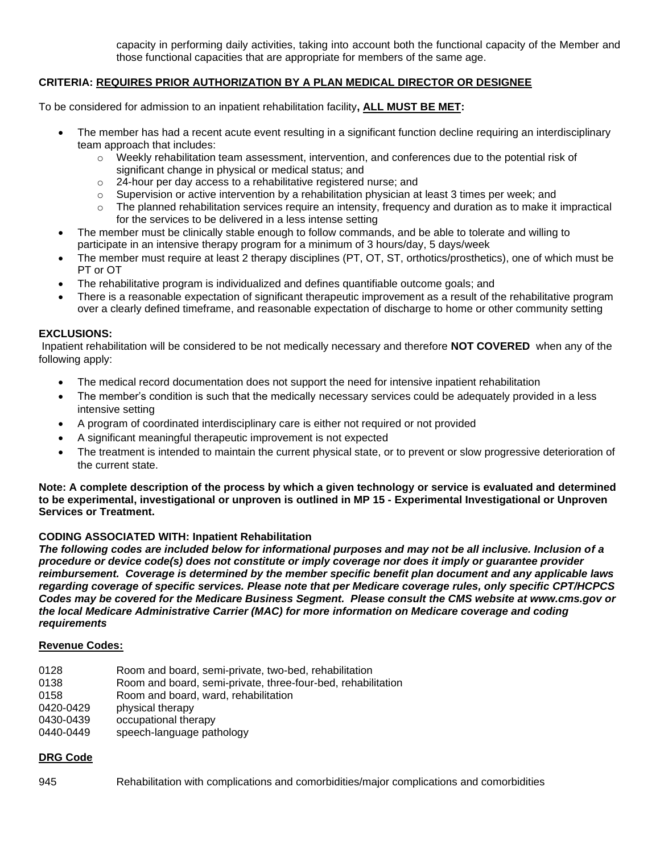capacity in performing daily activities, taking into account both the functional capacity of the Member and those functional capacities that are appropriate for members of the same age.

# **CRITERIA: REQUIRES PRIOR AUTHORIZATION BY A PLAN MEDICAL DIRECTOR OR DESIGNEE**

To be considered for admission to an inpatient rehabilitation facility**, ALL MUST BE MET:**

- The member has had a recent acute event resulting in a significant function decline requiring an interdisciplinary team approach that includes:
	- $\circ$  Weekly rehabilitation team assessment, intervention, and conferences due to the potential risk of significant change in physical or medical status; and
	- o 24-hour per day access to a rehabilitative registered nurse; and
	- $\circ$  Supervision or active intervention by a rehabilitation physician at least 3 times per week; and
	- $\circ$  The planned rehabilitation services require an intensity, frequency and duration as to make it impractical for the services to be delivered in a less intense setting
- The member must be clinically stable enough to follow commands, and be able to tolerate and willing to participate in an intensive therapy program for a minimum of 3 hours/day, 5 days/week
- The member must require at least 2 therapy disciplines (PT, OT, ST, orthotics/prosthetics), one of which must be PT or OT
- The rehabilitative program is individualized and defines quantifiable outcome goals; and
- There is a reasonable expectation of significant therapeutic improvement as a result of the rehabilitative program over a clearly defined timeframe, and reasonable expectation of discharge to home or other community setting

#### **EXCLUSIONS:**

Inpatient rehabilitation will be considered to be not medically necessary and therefore **NOT COVERED** when any of the following apply:

- The medical record documentation does not support the need for intensive inpatient rehabilitation
- The member's condition is such that the medically necessary services could be adequately provided in a less intensive setting
- A program of coordinated interdisciplinary care is either not required or not provided
- A significant meaningful therapeutic improvement is not expected
- The treatment is intended to maintain the current physical state, or to prevent or slow progressive deterioration of the current state.

**Note: A complete description of the process by which a given technology or service is evaluated and determined to be experimental, investigational or unproven is outlined in MP 15 - Experimental Investigational or Unproven Services or Treatment.**

#### **CODING ASSOCIATED WITH: Inpatient Rehabilitation**

*The following codes are included below for informational purposes and may not be all inclusive. Inclusion of a procedure or device code(s) does not constitute or imply coverage nor does it imply or guarantee provider reimbursement. Coverage is determined by the member specific benefit plan document and any applicable laws regarding coverage of specific services. Please note that per Medicare coverage rules, only specific CPT/HCPCS Codes may be covered for the Medicare Business Segment. Please consult the CMS website at www.cms.gov or the local Medicare Administrative Carrier (MAC) for more information on Medicare coverage and coding requirements*

#### **Revenue Codes:**

- 0128 Room and board, semi-private, two-bed, rehabilitation
- 0138 Room and board, semi-private, three-four-bed, rehabilitation
- 0158 Room and board, ward, rehabilitation
- 0420-0429 physical therapy
- 0430-0439 occupational therapy
- 0440-0449 speech-language pathology

#### **DRG Code**

945 Rehabilitation with complications and comorbidities/major complications and comorbidities